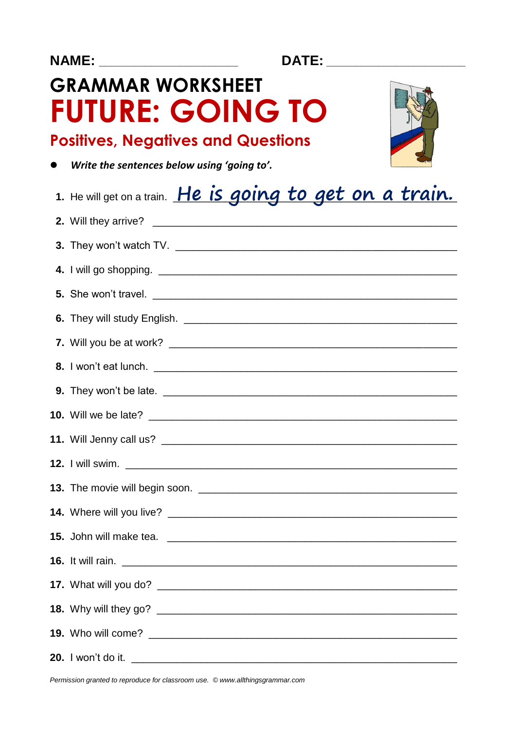DATE: The DATE:

# **GRAMMAR WORKSHEET FUTURE: GOING TO**



## **Positives, Negatives and Questions**

• Write the sentences below using 'going to'.

| 1. He will get on a train. He is going to get on a train. |
|-----------------------------------------------------------|
|                                                           |
|                                                           |
|                                                           |
|                                                           |
|                                                           |
|                                                           |
|                                                           |
|                                                           |
|                                                           |
|                                                           |
|                                                           |
|                                                           |
|                                                           |
|                                                           |
|                                                           |
|                                                           |
|                                                           |
|                                                           |
|                                                           |

Permission granted to reproduce for classroom use. © www.allthingsgrammar.com